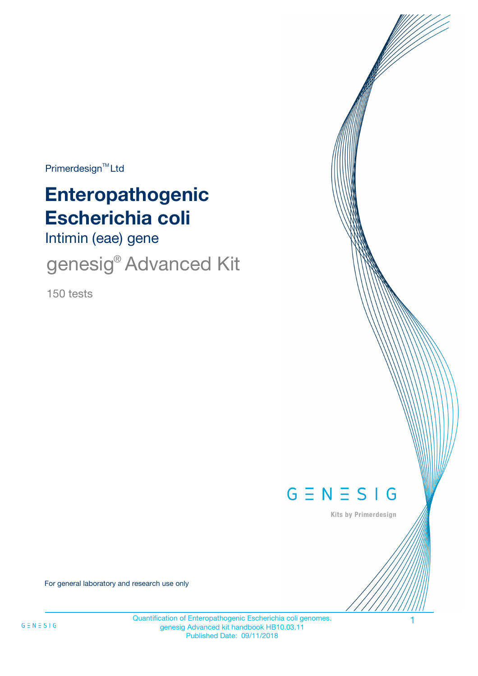$Primerdesign^{\text{TM}}$ Ltd

# **Enteropathogenic Escherichia coli**

Intimin (eae) gene

genesig<sup>®</sup> Advanced Kit

150 tests



Kits by Primerdesign

For general laboratory and research use only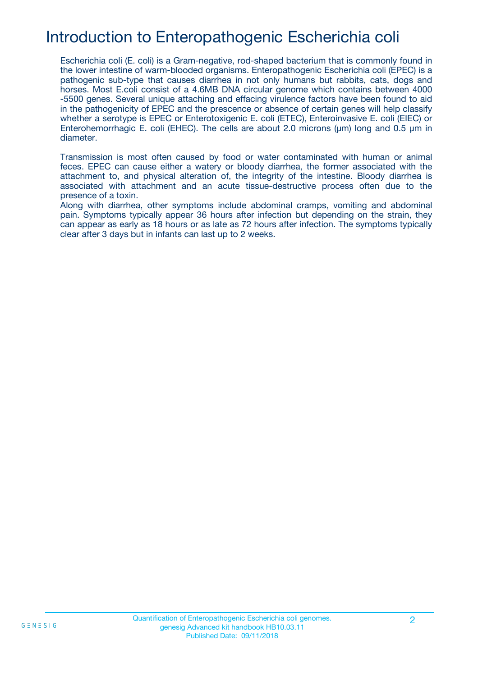# Introduction to Enteropathogenic Escherichia coli

Escherichia coli (E. coli) is a Gram-negative, rod-shaped bacterium that is commonly found in the lower intestine of warm-blooded organisms. Enteropathogenic Escherichia coli (EPEC) is a pathogenic sub-type that causes diarrhea in not only humans but rabbits, cats, dogs and horses. Most E.coli consist of a 4.6MB DNA circular genome which contains between 4000 -5500 genes. Several unique attaching and effacing virulence factors have been found to aid in the pathogenicity of EPEC and the prescence or absence of certain genes will help classify whether a serotype is EPEC or Enterotoxigenic E. coli (ETEC), Enteroinvasive E. coli (EIEC) or Enterohemorrhagic E. coli (EHEC). The cells are about 2.0 microns (μm) long and 0.5 μm in diameter.

Transmission is most often caused by food or water contaminated with human or animal feces. EPEC can cause either a watery or bloody diarrhea, the former associated with the attachment to, and physical alteration of, the integrity of the intestine. Bloody diarrhea is associated with attachment and an acute tissue-destructive process often due to the presence of a toxin.

Along with diarrhea, other symptoms include abdominal cramps, vomiting and abdominal pain. Symptoms typically appear 36 hours after infection but depending on the strain, they can appear as early as 18 hours or as late as 72 hours after infection. The symptoms typically clear after 3 days but in infants can last up to 2 weeks.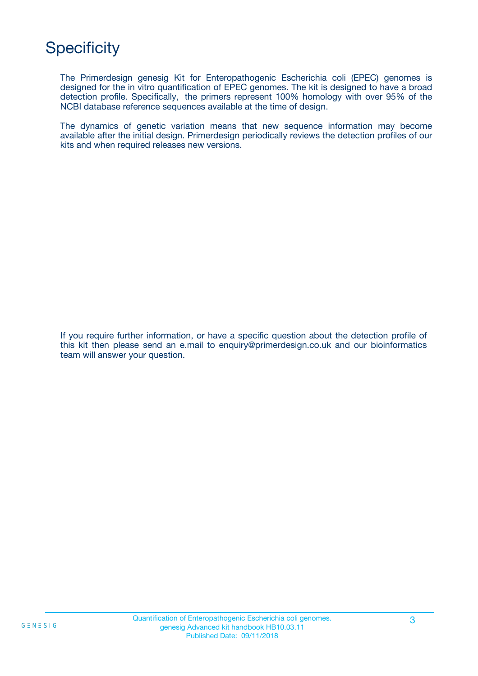# **Specificity**

The Primerdesign genesig Kit for Enteropathogenic Escherichia coli (EPEC) genomes is designed for the in vitro quantification of EPEC genomes. The kit is designed to have a broad detection profile. Specifically, the primers represent 100% homology with over 95% of the NCBI database reference sequences available at the time of design.

The dynamics of genetic variation means that new sequence information may become available after the initial design. Primerdesign periodically reviews the detection profiles of our kits and when required releases new versions.

If you require further information, or have a specific question about the detection profile of this kit then please send an e.mail to enquiry@primerdesign.co.uk and our bioinformatics team will answer your question.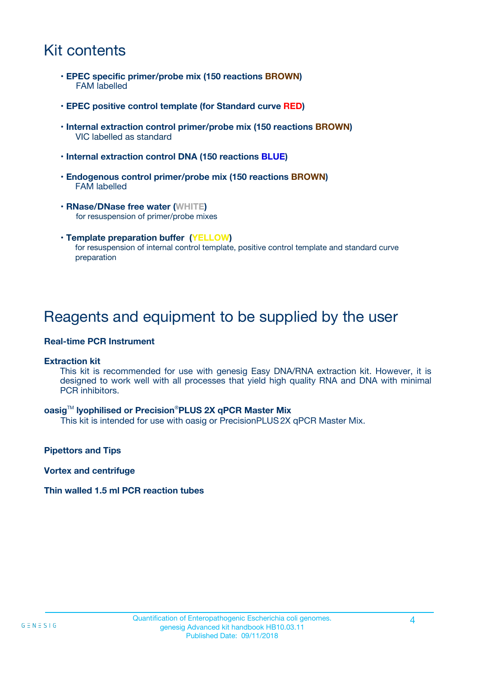## Kit contents

- **EPEC specific primer/probe mix (150 reactions BROWN)** FAM labelled
- **EPEC positive control template (for Standard curve RED)**
- **Internal extraction control primer/probe mix (150 reactions BROWN)** VIC labelled as standard
- **Internal extraction control DNA (150 reactions BLUE)**
- **Endogenous control primer/probe mix (150 reactions BROWN)** FAM labelled
- **RNase/DNase free water (WHITE)** for resuspension of primer/probe mixes
- **Template preparation buffer (YELLOW)** for resuspension of internal control template, positive control template and standard curve preparation

### Reagents and equipment to be supplied by the user

#### **Real-time PCR Instrument**

#### **Extraction kit**

This kit is recommended for use with genesig Easy DNA/RNA extraction kit. However, it is designed to work well with all processes that yield high quality RNA and DNA with minimal PCR inhibitors.

#### **oasig**TM **lyophilised or Precision**®**PLUS 2X qPCR Master Mix**

This kit is intended for use with oasig or PrecisionPLUS2X qPCR Master Mix.

**Pipettors and Tips**

**Vortex and centrifuge**

#### **Thin walled 1.5 ml PCR reaction tubes**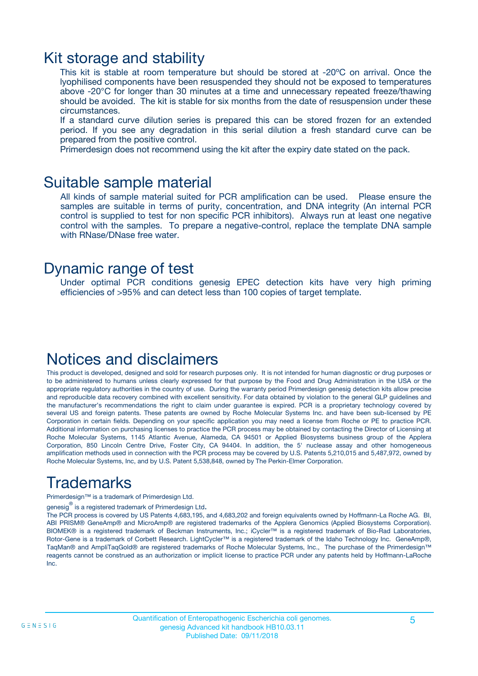### Kit storage and stability

This kit is stable at room temperature but should be stored at -20ºC on arrival. Once the lyophilised components have been resuspended they should not be exposed to temperatures above -20°C for longer than 30 minutes at a time and unnecessary repeated freeze/thawing should be avoided. The kit is stable for six months from the date of resuspension under these circumstances.

If a standard curve dilution series is prepared this can be stored frozen for an extended period. If you see any degradation in this serial dilution a fresh standard curve can be prepared from the positive control.

Primerdesign does not recommend using the kit after the expiry date stated on the pack.

### Suitable sample material

All kinds of sample material suited for PCR amplification can be used. Please ensure the samples are suitable in terms of purity, concentration, and DNA integrity (An internal PCR control is supplied to test for non specific PCR inhibitors). Always run at least one negative control with the samples. To prepare a negative-control, replace the template DNA sample with RNase/DNase free water.

### Dynamic range of test

Under optimal PCR conditions genesig EPEC detection kits have very high priming efficiencies of >95% and can detect less than 100 copies of target template.

### Notices and disclaimers

This product is developed, designed and sold for research purposes only. It is not intended for human diagnostic or drug purposes or to be administered to humans unless clearly expressed for that purpose by the Food and Drug Administration in the USA or the appropriate regulatory authorities in the country of use. During the warranty period Primerdesign genesig detection kits allow precise and reproducible data recovery combined with excellent sensitivity. For data obtained by violation to the general GLP guidelines and the manufacturer's recommendations the right to claim under guarantee is expired. PCR is a proprietary technology covered by several US and foreign patents. These patents are owned by Roche Molecular Systems Inc. and have been sub-licensed by PE Corporation in certain fields. Depending on your specific application you may need a license from Roche or PE to practice PCR. Additional information on purchasing licenses to practice the PCR process may be obtained by contacting the Director of Licensing at Roche Molecular Systems, 1145 Atlantic Avenue, Alameda, CA 94501 or Applied Biosystems business group of the Applera Corporation, 850 Lincoln Centre Drive, Foster City, CA 94404. In addition, the 5' nuclease assay and other homogeneous amplification methods used in connection with the PCR process may be covered by U.S. Patents 5,210,015 and 5,487,972, owned by Roche Molecular Systems, Inc, and by U.S. Patent 5,538,848, owned by The Perkin-Elmer Corporation.

# Trademarks

Primerdesign™ is a trademark of Primerdesign Ltd.

genesig $^\circledR$  is a registered trademark of Primerdesign Ltd.

The PCR process is covered by US Patents 4,683,195, and 4,683,202 and foreign equivalents owned by Hoffmann-La Roche AG. BI, ABI PRISM® GeneAmp® and MicroAmp® are registered trademarks of the Applera Genomics (Applied Biosystems Corporation). BIOMEK® is a registered trademark of Beckman Instruments, Inc.; iCycler™ is a registered trademark of Bio-Rad Laboratories, Rotor-Gene is a trademark of Corbett Research. LightCycler™ is a registered trademark of the Idaho Technology Inc. GeneAmp®, TaqMan® and AmpliTaqGold® are registered trademarks of Roche Molecular Systems, Inc., The purchase of the Primerdesign™ reagents cannot be construed as an authorization or implicit license to practice PCR under any patents held by Hoffmann-LaRoche Inc.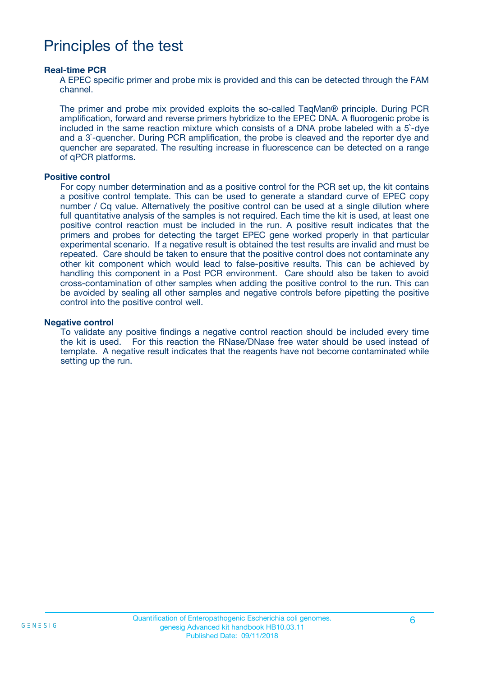### Principles of the test

#### **Real-time PCR**

A EPEC specific primer and probe mix is provided and this can be detected through the FAM channel.

The primer and probe mix provided exploits the so-called TaqMan® principle. During PCR amplification, forward and reverse primers hybridize to the EPEC DNA. A fluorogenic probe is included in the same reaction mixture which consists of a DNA probe labeled with a 5`-dye and a 3`-quencher. During PCR amplification, the probe is cleaved and the reporter dye and quencher are separated. The resulting increase in fluorescence can be detected on a range of qPCR platforms.

#### **Positive control**

For copy number determination and as a positive control for the PCR set up, the kit contains a positive control template. This can be used to generate a standard curve of EPEC copy number / Cq value. Alternatively the positive control can be used at a single dilution where full quantitative analysis of the samples is not required. Each time the kit is used, at least one positive control reaction must be included in the run. A positive result indicates that the primers and probes for detecting the target EPEC gene worked properly in that particular experimental scenario. If a negative result is obtained the test results are invalid and must be repeated. Care should be taken to ensure that the positive control does not contaminate any other kit component which would lead to false-positive results. This can be achieved by handling this component in a Post PCR environment. Care should also be taken to avoid cross-contamination of other samples when adding the positive control to the run. This can be avoided by sealing all other samples and negative controls before pipetting the positive control into the positive control well.

#### **Negative control**

To validate any positive findings a negative control reaction should be included every time the kit is used. For this reaction the RNase/DNase free water should be used instead of template. A negative result indicates that the reagents have not become contaminated while setting up the run.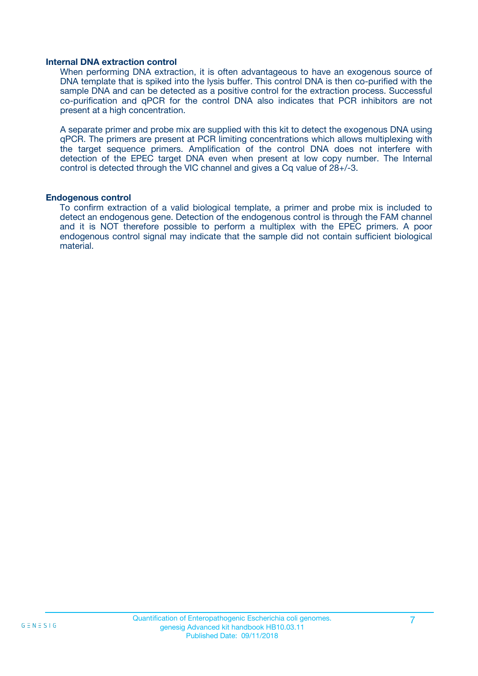#### **Internal DNA extraction control**

When performing DNA extraction, it is often advantageous to have an exogenous source of DNA template that is spiked into the lysis buffer. This control DNA is then co-purified with the sample DNA and can be detected as a positive control for the extraction process. Successful co-purification and qPCR for the control DNA also indicates that PCR inhibitors are not present at a high concentration.

A separate primer and probe mix are supplied with this kit to detect the exogenous DNA using qPCR. The primers are present at PCR limiting concentrations which allows multiplexing with the target sequence primers. Amplification of the control DNA does not interfere with detection of the EPEC target DNA even when present at low copy number. The Internal control is detected through the VIC channel and gives a Cq value of 28+/-3.

#### **Endogenous control**

To confirm extraction of a valid biological template, a primer and probe mix is included to detect an endogenous gene. Detection of the endogenous control is through the FAM channel and it is NOT therefore possible to perform a multiplex with the EPEC primers. A poor endogenous control signal may indicate that the sample did not contain sufficient biological material.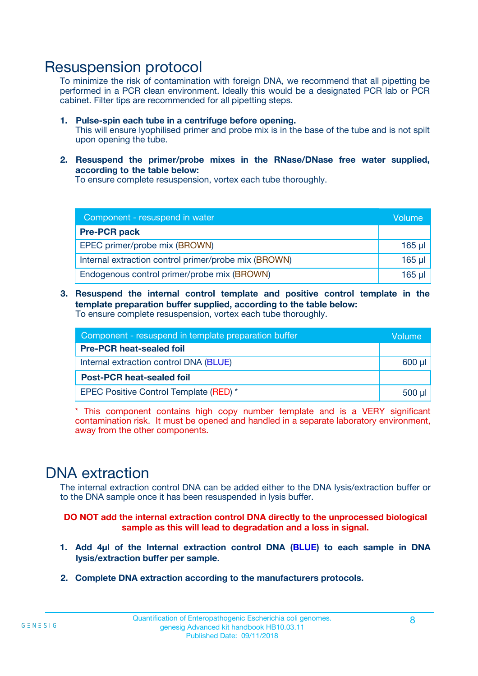### Resuspension protocol

To minimize the risk of contamination with foreign DNA, we recommend that all pipetting be performed in a PCR clean environment. Ideally this would be a designated PCR lab or PCR cabinet. Filter tips are recommended for all pipetting steps.

- **1. Pulse-spin each tube in a centrifuge before opening.** This will ensure lyophilised primer and probe mix is in the base of the tube and is not spilt upon opening the tube.
- **2. Resuspend the primer/probe mixes in the RNase/DNase free water supplied, according to the table below:**

To ensure complete resuspension, vortex each tube thoroughly.

| Component - resuspend in water                       |          |  |
|------------------------------------------------------|----------|--|
| <b>Pre-PCR pack</b>                                  |          |  |
| EPEC primer/probe mix (BROWN)                        | $165$ µ  |  |
| Internal extraction control primer/probe mix (BROWN) | $165$ µl |  |
| Endogenous control primer/probe mix (BROWN)          | 165 µl   |  |

**3. Resuspend the internal control template and positive control template in the template preparation buffer supplied, according to the table below:** To ensure complete resuspension, vortex each tube thoroughly.

| Component - resuspend in template preparation buffer |  |  |  |
|------------------------------------------------------|--|--|--|
| <b>Pre-PCR heat-sealed foil</b>                      |  |  |  |
| Internal extraction control DNA (BLUE)               |  |  |  |
| <b>Post-PCR heat-sealed foil</b>                     |  |  |  |
| EPEC Positive Control Template (RED) *               |  |  |  |

\* This component contains high copy number template and is a VERY significant contamination risk. It must be opened and handled in a separate laboratory environment, away from the other components.

### DNA extraction

The internal extraction control DNA can be added either to the DNA lysis/extraction buffer or to the DNA sample once it has been resuspended in lysis buffer.

**DO NOT add the internal extraction control DNA directly to the unprocessed biological sample as this will lead to degradation and a loss in signal.**

- **1. Add 4µl of the Internal extraction control DNA (BLUE) to each sample in DNA lysis/extraction buffer per sample.**
- **2. Complete DNA extraction according to the manufacturers protocols.**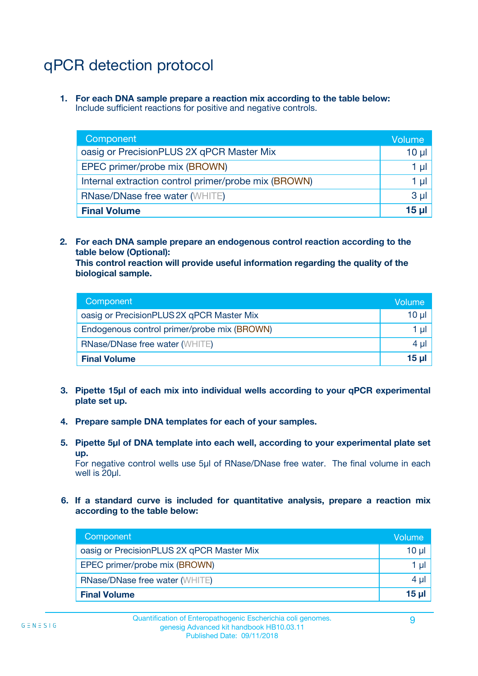# qPCR detection protocol

**1. For each DNA sample prepare a reaction mix according to the table below:** Include sufficient reactions for positive and negative controls.

| Component                                            | Volume   |
|------------------------------------------------------|----------|
| oasig or PrecisionPLUS 2X qPCR Master Mix            | $10 \mu$ |
| EPEC primer/probe mix (BROWN)                        | 1 µI     |
| Internal extraction control primer/probe mix (BROWN) | 1 µl     |
| <b>RNase/DNase free water (WHITE)</b>                | $3 \mu$  |
| <b>Final Volume</b>                                  | 15 µl    |

**2. For each DNA sample prepare an endogenous control reaction according to the table below (Optional):**

**This control reaction will provide useful information regarding the quality of the biological sample.**

| Component                                   | Volume   |
|---------------------------------------------|----------|
| oasig or PrecisionPLUS 2X qPCR Master Mix   | $10 \mu$ |
| Endogenous control primer/probe mix (BROWN) | 1 µI     |
| <b>RNase/DNase free water (WHITE)</b>       | $4 \mu$  |
| <b>Final Volume</b>                         | 15 µl    |

- **3. Pipette 15µl of each mix into individual wells according to your qPCR experimental plate set up.**
- **4. Prepare sample DNA templates for each of your samples.**
- **5. Pipette 5µl of DNA template into each well, according to your experimental plate set up.**

For negative control wells use 5µl of RNase/DNase free water. The final volume in each well is 20ul.

**6. If a standard curve is included for quantitative analysis, prepare a reaction mix according to the table below:**

| Component                                 | Volume          |
|-------------------------------------------|-----------------|
| oasig or PrecisionPLUS 2X qPCR Master Mix | 10 µl           |
| EPEC primer/probe mix (BROWN)             |                 |
| <b>RNase/DNase free water (WHITE)</b>     | $4 \mu$         |
| <b>Final Volume</b>                       | 15 <sub>µ</sub> |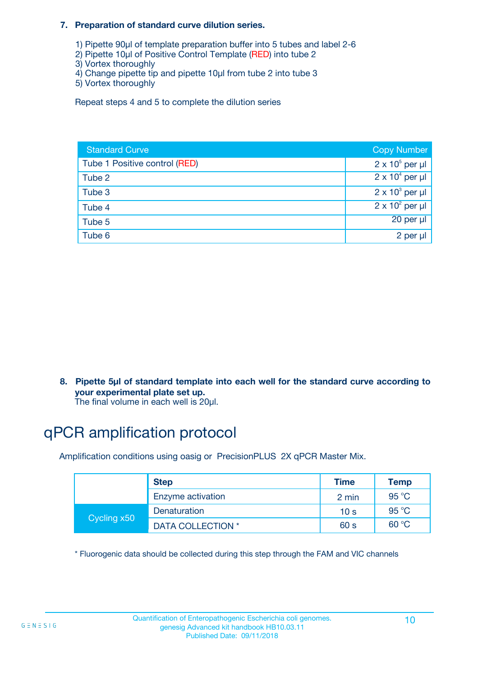#### **7. Preparation of standard curve dilution series.**

- 1) Pipette 90µl of template preparation buffer into 5 tubes and label 2-6
- 2) Pipette 10µl of Positive Control Template (RED) into tube 2
- 3) Vortex thoroughly
- 4) Change pipette tip and pipette 10µl from tube 2 into tube 3
- 5) Vortex thoroughly

Repeat steps 4 and 5 to complete the dilution series

| <b>Standard Curve</b>         | <b>Copy Number</b>     |
|-------------------------------|------------------------|
| Tube 1 Positive control (RED) | $2 \times 10^5$ per µl |
| Tube 2                        | $2 \times 10^4$ per µl |
| Tube 3                        | $2 \times 10^3$ per µl |
| Tube 4                        | $2 \times 10^2$ per µl |
| Tube 5                        | 20 per µl              |
| Tube 6                        | 2 per µl               |

**8. Pipette 5µl of standard template into each well for the standard curve according to your experimental plate set up.**

#### The final volume in each well is 20µl.

# qPCR amplification protocol

Amplification conditions using oasig or PrecisionPLUS 2X qPCR Master Mix.

|             | <b>Step</b>       | <b>Time</b>     | Temp    |
|-------------|-------------------|-----------------|---------|
|             | Enzyme activation | 2 min           | 95 °C   |
| Cycling x50 | Denaturation      | 10 <sub>s</sub> | 95 $°C$ |
|             | DATA COLLECTION * | 60 s            | 60 °C   |

\* Fluorogenic data should be collected during this step through the FAM and VIC channels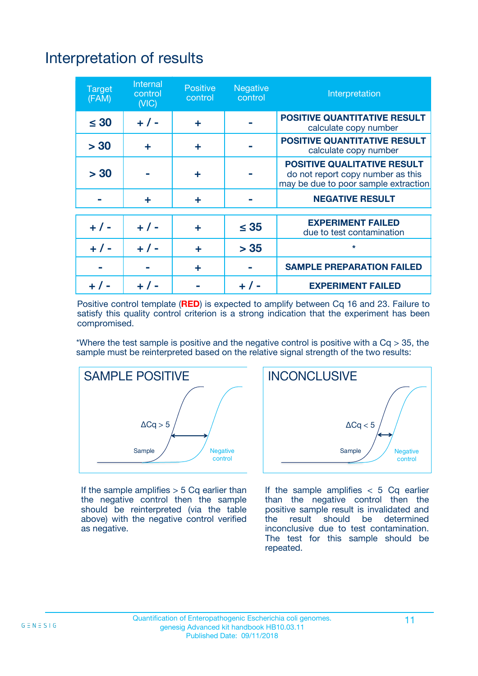# Interpretation of results

| <b>Target</b><br>(FAM) | <b>Internal</b><br>control<br>(NIC) | <b>Positive</b><br>control | <b>Negative</b><br>control | Interpretation                                                                                                  |
|------------------------|-------------------------------------|----------------------------|----------------------------|-----------------------------------------------------------------------------------------------------------------|
| $\leq 30$              | $+ 1 -$                             | ÷                          |                            | <b>POSITIVE QUANTITATIVE RESULT</b><br>calculate copy number                                                    |
| > 30                   | ٠                                   | ÷                          |                            | <b>POSITIVE QUANTITATIVE RESULT</b><br>calculate copy number                                                    |
| > 30                   |                                     | ÷                          |                            | <b>POSITIVE QUALITATIVE RESULT</b><br>do not report copy number as this<br>may be due to poor sample extraction |
|                        | ÷                                   | ÷                          |                            | <b>NEGATIVE RESULT</b>                                                                                          |
| $+ 1 -$                | $+ 1 -$                             | ÷                          | $\leq$ 35                  | <b>EXPERIMENT FAILED</b><br>due to test contamination                                                           |
| $+$ / -                | $+ 1 -$                             | ÷                          | > 35                       | $\star$                                                                                                         |
|                        |                                     | ÷                          |                            | <b>SAMPLE PREPARATION FAILED</b>                                                                                |
|                        |                                     |                            | $+$ /                      | <b>EXPERIMENT FAILED</b>                                                                                        |

Positive control template (**RED**) is expected to amplify between Cq 16 and 23. Failure to satisfy this quality control criterion is a strong indication that the experiment has been compromised.

\*Where the test sample is positive and the negative control is positive with a  $Ca > 35$ , the sample must be reinterpreted based on the relative signal strength of the two results:



If the sample amplifies  $> 5$  Cq earlier than the negative control then the sample should be reinterpreted (via the table above) with the negative control verified as negative.



If the sample amplifies  $< 5$  Cq earlier than the negative control then the positive sample result is invalidated and<br>the result should be determined  $the$  result should be inconclusive due to test contamination. The test for this sample should be repeated.